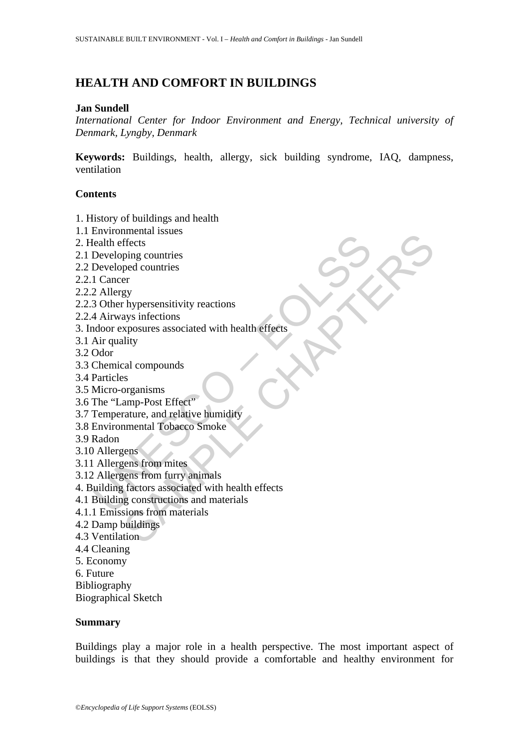# **HEALTH AND COMFORT IN BUILDINGS**

### **Jan Sundell**

*International Center for Indoor Environment and Energy, Technical university of Denmark, Lyngby, Denmark* 

**Keywords:** Buildings, health, allergy, sick building syndrome, IAQ, dampness, ventilation

### **Contents**

- 1. History of buildings and health
- 1.1 Environmental issues
- 2. Health effects
- 2.1 Developing countries
- 2.2 Developed countries
- 2.2.1 Cancer
- 2.2.2 Allergy
- 2.2.3 Other hypersensitivity reactions
- 2.2.4 Airways infections
- 3. Indoor exposures associated with health effects
- 3.1 Air quality
- 3.2 Odor
- 3.3 Chemical compounds
- 3.4 Particles
- 3.5 Micro-organisms
- 3.6 The "Lamp-Post Effect"
- 3.7 Temperature, and relative humidity
- 3.8 Environmental Tobacco Smoke
- 3.9 Radon
- 3.10 Allergens
- 3.11 Allergens from mites
- 3.12 Allergens from furry animals
- Exertionmental<br>
Exertistical respectively and the effects<br>
Developing countries<br>
1 Cancer<br>
1 Cancer<br>
2 Allergy<br>
3 Other hypersensitivity reactions<br>
4 Airways infections<br>
Air quality<br>
Odor<br>
Chemical compounds<br>
Particles<br>
Mi mentional issues<br>
Ffects<br>
ping countries<br>
ped countries<br>
gy<br>
sy hypersensitivity reactions<br>
ays infections<br>
any systemes associated with health effects<br>
sa organisms<br>
cens<br>
rearmental Tobacco Smoke<br>
gens<br>
from mittes<br>
gens 4. Building factors associated with health effects
- 4.1 Building constructions and materials
- 4.1.1 Emissions from materials
- 4.2 Damp buildings
- 4.3 Ventilation
- 4.4 Cleaning
- 5. Economy
- 6. Future
- Bibliography

Biographical Sketch

### **Summary**

Buildings play a major role in a health perspective. The most important aspect of buildings is that they should provide a comfortable and healthy environment for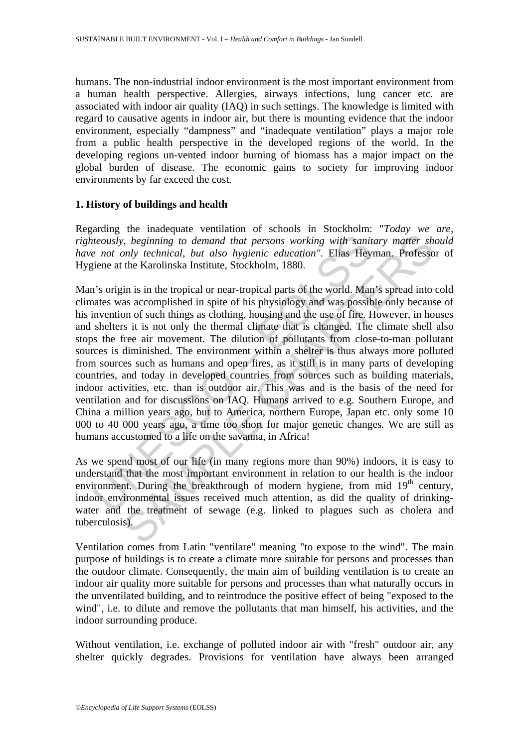humans. The non-industrial indoor environment is the most important environment from a human health perspective. Allergies, airways infections, lung cancer etc. are associated with indoor air quality (IAQ) in such settings. The knowledge is limited with regard to causative agents in indoor air, but there is mounting evidence that the indoor environment, especially "dampness" and "inadequate ventilation" plays a major role from a public health perspective in the developed regions of the world. In the developing regions un-vented indoor burning of biomass has a major impact on the global burden of disease. The economic gains to society for improving indoor environments by far exceed the cost.

### **1. History of buildings and health**

Regarding the inadequate ventilation of schools in Stockholm: "*Today we are, righteously, beginning to demand that persons working with sanitary matter should have not only technical, but also hygienic education"*. Elias Heyman. Professor of Hygiene at the Karolinska Institute, Stockholm, 1880.

teously, beginning to demand that persons working with sanite not only technical, but also hygienic education". Elias Hey<br>iene at the Karolinska Institute, Stockholm, 1880.<br>
To sorigin is in the tropical or near-tropical p beginning to demand that persons working with sanitary matter shouly technical, but also hygienic education". Elias Heyman. Professo the Karolinska Institute, Stockholm, 1880.<br>
in is in the tropical or near-tropical parts Man's origin is in the tropical or near-tropical parts of the world. Man's spread into cold climates was accomplished in spite of his physiology and was possible only because of his invention of such things as clothing, housing and the use of fire. However, in houses and shelters it is not only the thermal climate that is changed. The climate shell also stops the free air movement. The dilution of pollutants from close-to-man pollutant sources is diminished. The environment within a shelter is thus always more polluted from sources such as humans and open fires, as it still is in many parts of developing countries, and today in developed countries from sources such as building materials, indoor activities, etc. than is outdoor air. This was and is the basis of the need for ventilation and for discussions on IAQ. Humans arrived to e.g. Southern Europe, and China a million years ago, but to America, northern Europe, Japan etc. only some 10 000 to 40 000 years ago, a time too short for major genetic changes. We are still as humans accustomed to a life on the savanna, in Africa!

As we spend most of our life (in many regions more than 90%) indoors, it is easy to understand that the most important environment in relation to our health is the indoor environment. During the breakthrough of modern hygiene, from mid  $19<sup>th</sup>$  century, indoor environmental issues received much attention, as did the quality of drinkingwater and the treatment of sewage (e.g. linked to plagues such as cholera and tuberculosis).

Ventilation comes from Latin "ventilare" meaning "to expose to the wind". The main purpose of buildings is to create a climate more suitable for persons and processes than the outdoor climate. Consequently, the main aim of building ventilation is to create an indoor air quality more suitable for persons and processes than what naturally occurs in the unventilated building, and to reintroduce the positive effect of being "exposed to the wind", i.e. to dilute and remove the pollutants that man himself, his activities, and the indoor surrounding produce.

Without ventilation, i.e. exchange of polluted indoor air with "fresh" outdoor air, any shelter quickly degrades. Provisions for ventilation have always been arranged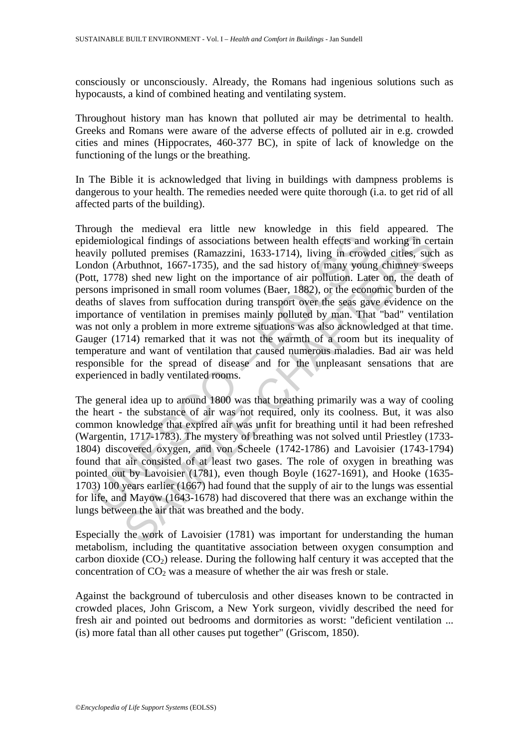consciously or unconsciously. Already, the Romans had ingenious solutions such as hypocausts, a kind of combined heating and ventilating system.

Throughout history man has known that polluted air may be detrimental to health. Greeks and Romans were aware of the adverse effects of polluted air in e.g. crowded cities and mines (Hippocrates, 460-377 BC), in spite of lack of knowledge on the functioning of the lungs or the breathing.

In The Bible it is acknowledged that living in buildings with dampness problems is dangerous to your health. The remedies needed were quite thorough (i.a. to get rid of all affected parts of the building).

lemiological findings of associations between health effects and<br>vily polluted premises (Ramazzini, 1633-1714), living in crowdon<br>(Arbuthnot, 1667-1735), and the sad history of many youn<br>t, 1778) shed new light on the impo gical findings of associations between health effects and working in centure and the premises (Ramazzini, 1633-1714), living in crowded cities, such<br>truttunct, 1667-1735), and the sad history of many young chimney sweep<br>i Through the medieval era little new knowledge in this field appeared. The epidemiological findings of associations between health effects and working in certain heavily polluted premises (Ramazzini, 1633-1714), living in crowded cities, such as London (Arbuthnot, 1667-1735), and the sad history of many young chimney sweeps (Pott, 1778) shed new light on the importance of air pollution. Later on, the death of persons imprisoned in small room volumes (Baer, 1882), or the economic burden of the deaths of slaves from suffocation during transport over the seas gave evidence on the importance of ventilation in premises mainly polluted by man. That "bad" ventilation was not only a problem in more extreme situations was also acknowledged at that time. Gauger (1714) remarked that it was not the warmth of a room but its inequality of temperature and want of ventilation that caused numerous maladies. Bad air was held responsible for the spread of disease and for the unpleasant sensations that are experienced in badly ventilated rooms.

The general idea up to around 1800 was that breathing primarily was a way of cooling the heart - the substance of air was not required, only its coolness. But, it was also common knowledge that expired air was unfit for breathing until it had been refreshed (Wargentin, 1717-1783). The mystery of breathing was not solved until Priestley (1733- 1804) discovered oxygen, and von Scheele (1742-1786) and Lavoisier (1743-1794) found that air consisted of at least two gases. The role of oxygen in breathing was pointed out by Lavoisier (1781), even though Boyle (1627-1691), and Hooke (1635- 1703) 100 years earlier (1667) had found that the supply of air to the lungs was essential for life, and Mayow (1643-1678) had discovered that there was an exchange within the lungs between the air that was breathed and the body.

Especially the work of Lavoisier (1781) was important for understanding the human metabolism, including the quantitative association between oxygen consumption and carbon dioxide  $(CO<sub>2</sub>)$  release. During the following half century it was accepted that the concentration of  $CO<sub>2</sub>$  was a measure of whether the air was fresh or stale.

Against the background of tuberculosis and other diseases known to be contracted in crowded places, John Griscom, a New York surgeon, vividly described the need for fresh air and pointed out bedrooms and dormitories as worst: "deficient ventilation ... (is) more fatal than all other causes put together" (Griscom, 1850).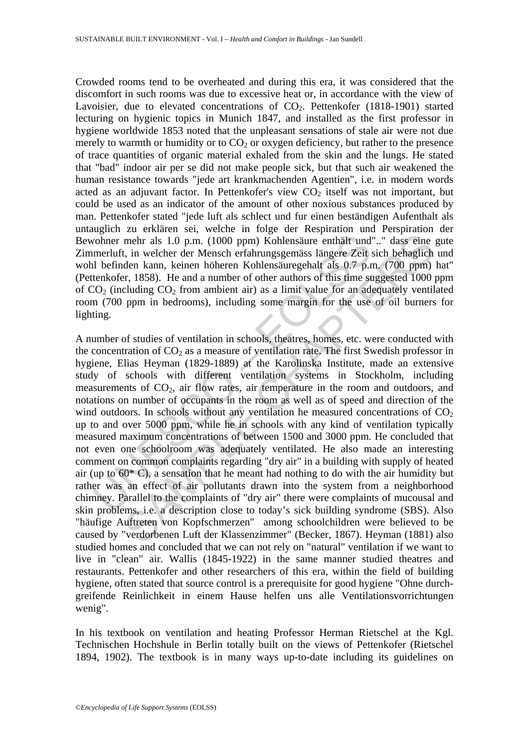Crowded rooms tend to be overheated and during this era, it was considered that the discomfort in such rooms was due to excessive heat or, in accordance with the view of Lavoisier, due to elevated concentrations of  $CO<sub>2</sub>$ . Pettenkofer (1818-1901) started lecturing on hygienic topics in Munich 1847, and installed as the first professor in hygiene worldwide 1853 noted that the unpleasant sensations of stale air were not due merely to warmth or humidity or to  $CO<sub>2</sub>$  or oxygen deficiency, but rather to the presence of trace quantities of organic material exhaled from the skin and the lungs. He stated that "bad" indoor air per se did not make people sick, but that such air weakened the human resistance towards "jede art krankmachenden Agentien", i.e. in modern words acted as an adjuvant factor. In Pettenkofer's view  $CO<sub>2</sub>$  itself was not important, but could be used as an indicator of the amount of other noxious substances produced by man. Pettenkofer stated "jede luft als schlect und fur einen beständigen Aufenthalt als untauglich zu erklären sei, welche in folge der Respiration und Perspiration der Bewohner mehr als 1.0 p.m. (1000 ppm) Kohlensäure enthält und".." dass eine gute Zimmerluft, in welcher der Mensch erfahrungsgemäss längere Zeit sich behaglich und wohl befinden kann, keinen höheren Kohlensäuregehalt als 0.7 p.m. (700 ppm) hat" (Pettenkofer, 1858). He and a number of other authors of this time suggested 1000 ppm of  $CO<sub>2</sub>$  (including  $CO<sub>2</sub>$  from ambient air) as a limit value for an adequately ventilated room (700 ppm in bedrooms), including some margin for the use of oil burners for lighting.

volner mehr als 1.0 p.m. (1000 ppm) Kohlensäure enthält und<br>merluft, in welcher der Mensch erfahrungsgemäss längere Zeit t<br>l befinden kann, keinen höheren Kohlensäuregehalt als 0.7 p.r.<br>tenkofer, 1858). He and a number of mehr als 1.0 p.m. (1000 ppm) Kohlensäure enthält und".." dass eine<br>t, in welcher der Mensch erfahrungsgemäss längere Zeit sich behaglich<br>den kann, keinen höheren Kohlensäuregehalt als 0.7 p.m. (700 ppm)<br>er, 1858). He and A number of studies of ventilation in schools, theatres, homes, etc. were conducted with the concentration of  $CO<sub>2</sub>$  as a measure of ventilation rate. The first Swedish professor in hygiene, Elias Heyman (1829-1889) at the Karolinska Institute, made an extensive study of schools with different ventilation systems in Stockholm, including measurements of CO2, air flow rates, air temperature in the room and outdoors, and notations on number of occupants in the room as well as of speed and direction of the wind outdoors. In schools without any ventilation he measured concentrations of  $CO<sub>2</sub>$ up to and over 5000 ppm, while he in schools with any kind of ventilation typically measured maximum concentrations of between 1500 and 3000 ppm. He concluded that not even one schoolroom was adequately ventilated. He also made an interesting comment on common complaints regarding "dry air" in a building with supply of heated air (up to  $60*$  C), a sensation that he meant had nothing to do with the air humidity but rather was an effect of air pollutants drawn into the system from a neighborhood chimney. Parallel to the complaints of "dry air" there were complaints of mucousal and skin problems, i.e. a description close to today's sick building syndrome (SBS). Also "häufige Auftreten von Kopfschmerzen" among schoolchildren were believed to be caused by "verdorbenen Luft der Klassenzimmer" (Becker, 1867). Heyman (1881) also studied homes and concluded that we can not rely on "natural" ventilation if we want to live in "clean" air. Wallis (1845-1922) in the same manner studied theatres and restaurants. Pettenkofer and other researchers of this era, within the field of building hygiene, often stated that source control is a prerequisite for good hygiene "Ohne durchgreifende Reinlichkeit in einem Hause helfen uns alle Ventilationsvorrichtungen wenig".

In his textbook on ventilation and heating Professor Herman Rietschel at the Kgl. Technischen Hochshule in Berlin totally built on the views of Pettenkofer (Rietschel 1894, 1902). The textbook is in many ways up-to-date including its guidelines on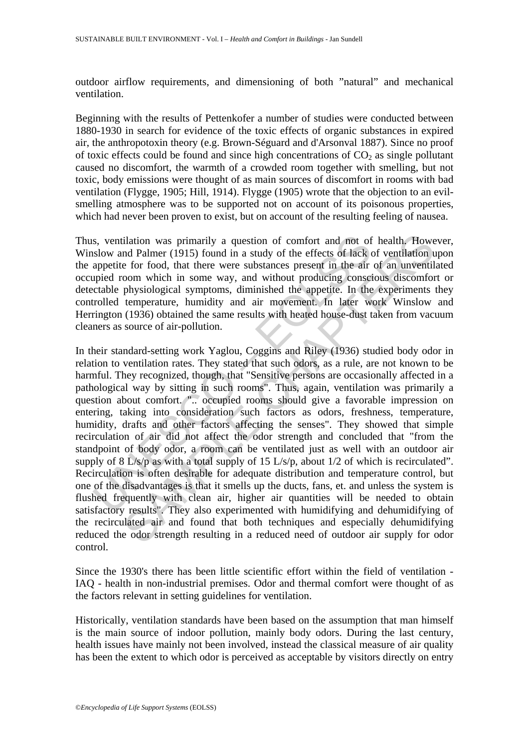outdoor airflow requirements, and dimensioning of both "natural" and mechanical ventilation.

Beginning with the results of Pettenkofer a number of studies were conducted between 1880-1930 in search for evidence of the toxic effects of organic substances in expired air, the anthropotoxin theory (e.g. Brown-Séguard and d'Arsonval 1887). Since no proof of toxic effects could be found and since high concentrations of  $CO<sub>2</sub>$  as single pollutant caused no discomfort, the warmth of a crowded room together with smelling, but not toxic, body emissions were thought of as main sources of discomfort in rooms with bad ventilation (Flygge, 1905; Hill, 1914). Flygge (1905) wrote that the objection to an evilsmelling atmosphere was to be supported not on account of its poisonous properties, which had never been proven to exist, but on account of the resulting feeling of nausea.

Thus, ventilation was primarily a question of comfort and not of health. However, Winslow and Palmer (1915) found in a study of the effects of lack of ventilation upon the appetite for food, that there were substances present in the air of an unventilated occupied room which in some way, and without producing conscious discomfort or detectable physiological symptoms, diminished the appetite. In the experiments they controlled temperature, humidity and air movement. In later work Winslow and Herrington (1936) obtained the same results with heated house-dust taken from vacuum cleaners as source of air-pollution.

s, ventilation was primarily a question of comfort and not of<br>slow and Palmer (1915) found in a study of the effects of lack c<br>appetite for food, that there were substances present in the air<br>pried room which in some way, ilation was primarily a question of comfort and not of health. Howerd Palmer (1915) found in a study of the effects of lack of ventilation to for oroid, that there were substrances present in the air of an unventilly phys In their standard-setting work Yaglou, Coggins and Riley (1936) studied body odor in relation to ventilation rates. They stated that such odors, as a rule, are not known to be harmful. They recognized, though, that "Sensitive persons are occasionally affected in a pathological way by sitting in such rooms". Thus, again, ventilation was primarily a question about comfort. "... occupied rooms should give a favorable impression on entering, taking into consideration such factors as odors, freshness, temperature, humidity, drafts and other factors affecting the senses". They showed that simple recirculation of air did not affect the odor strength and concluded that "from the standpoint of body odor, a room can be ventilated just as well with an outdoor air supply of 8 L/s/p as with a total supply of 15 L/s/p, about 1/2 of which is recirculated". Recirculation is often desirable for adequate distribution and temperature control, but one of the disadvantages is that it smells up the ducts, fans, et. and unless the system is flushed frequently with clean air, higher air quantities will be needed to obtain satisfactory results". They also experimented with humidifying and dehumidifying of the recirculated air and found that both techniques and especially dehumidifying reduced the odor strength resulting in a reduced need of outdoor air supply for odor control.

Since the 1930's there has been little scientific effort within the field of ventilation - IAQ - health in non-industrial premises. Odor and thermal comfort were thought of as the factors relevant in setting guidelines for ventilation.

Historically, ventilation standards have been based on the assumption that man himself is the main source of indoor pollution, mainly body odors. During the last century, health issues have mainly not been involved, instead the classical measure of air quality has been the extent to which odor is perceived as acceptable by visitors directly on entry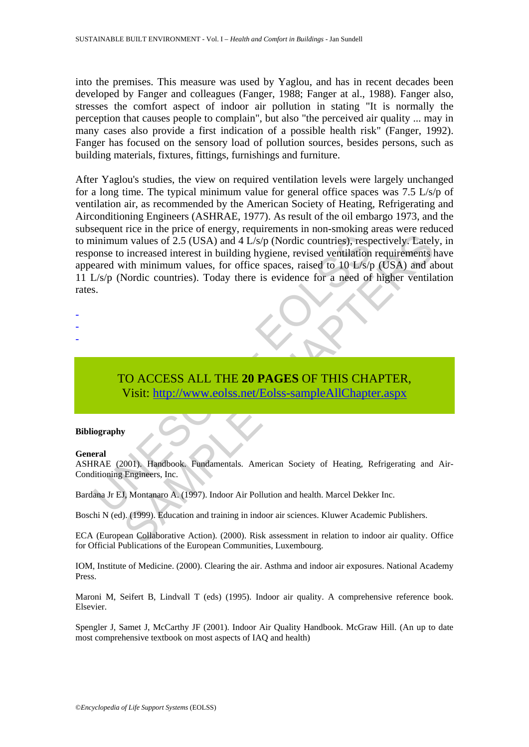into the premises. This measure was used by Yaglou, and has in recent decades been developed by Fanger and colleagues (Fanger, 1988; Fanger at al., 1988). Fanger also, stresses the comfort aspect of indoor air pollution in stating "It is normally the perception that causes people to complain", but also "the perceived air quality ... may in many cases also provide a first indication of a possible health risk" (Fanger, 1992). Fanger has focused on the sensory load of pollution sources, besides persons, such as building materials, fixtures, fittings, furnishings and furniture.

inimum values of 2.5 (USA) and 4 L/s/p (Nordic countries), resp<br>onse to increased interest in building hygiene, revised ventilation<br>aared with minimum values, for office spaces, raised to 10 L/s/<sub>F</sub><br>( $\frac{L}{S/p}$  (Nordic cou The matter of 2.5 (USA) and 4 L/s/p (Nordic countries), respectively. Lately<br>
increased interest in building hygiene, revised ventilation requirements livit<br>
minimum values, for office spaces, raised to 10 L/s/p (USA) and After Yaglou's studies, the view on required ventilation levels were largely unchanged for a long time. The typical minimum value for general office spaces was 7.5 L/s/p of ventilation air, as recommended by the American Society of Heating, Refrigerating and Airconditioning Engineers (ASHRAE, 1977). As result of the oil embargo 1973, and the subsequent rice in the price of energy, requirements in non-smoking areas were reduced to minimum values of 2.5 (USA) and 4 L/s/p (Nordic countries), respectively. Lately, in response to increased interest in building hygiene, revised ventilation requirements have appeared with minimum values, for office spaces, raised to 10 L/s/p (USA) and about 11 L/s/p (Nordic countries). Today there is evidence for a need of higher ventilation rates.

- -
- -
- -

## TO ACCESS ALL THE **20 PAGES** OF THIS CHAPTER, Visit: http://www.eolss.net/Eolss-sampleAllChapter.aspx

#### **Bibliography**

#### **General**

ASHRAE (2001). Handbook. Fundamentals. American Society of Heating, Refrigerating and Air-Conditioning Engineers, Inc.

Bardana Jr EJ, Montanaro A. (1997). Indoor Air Pollution and health. Marcel Dekker Inc.

Boschi N (ed). (1999). Education and training in indoor air sciences. Kluwer Academic Publishers.

ECA (European Collaborative Action). (2000). Risk assessment in relation to indoor air quality. Office for Official Publications of the European Communities, Luxembourg.

IOM, Institute of Medicine. (2000). Clearing the air. Asthma and indoor air exposures. National Academy Press.

Maroni M, Seifert B, Lindvall T (eds) (1995). Indoor air quality. A comprehensive reference book. Elsevier.

Spengler J, Samet J, McCarthy JF (2001). Indoor Air Quality Handbook. McGraw Hill. (An up to date most comprehensive textbook on most aspects of IAQ and health)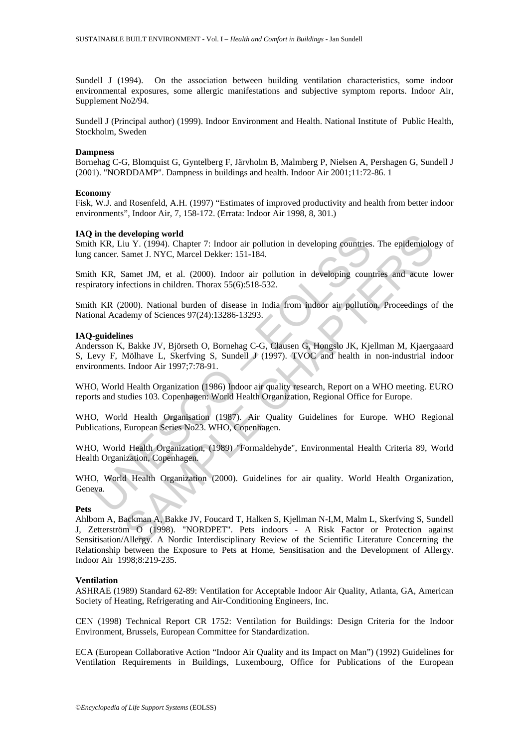Sundell J (1994). On the association between building ventilation characteristics, some indoor environmental exposures, some allergic manifestations and subjective symptom reports. Indoor Air, Supplement No2/94.

Sundell J (Principal author) (1999). Indoor Environment and Health. National Institute of Public Health, Stockholm, Sweden

#### **Dampness**

Bornehag C-G, Blomquist G, Gyntelberg F, Järvholm B, Malmberg P, Nielsen A, Pershagen G, Sundell J (2001). "NORDDAMP". Dampness in buildings and health. Indoor Air 2001;11:72-86. 1

#### **Economy**

Fisk, W.J. and Rosenfeld, A.H. (1997) "Estimates of improved productivity and health from better indoor environments", Indoor Air, 7, 158-172. (Errata: Indoor Air 1998, 8, 301.)

#### **IAQ in the developing world**

Smith KR, Liu Y. (1994). Chapter 7: Indoor air pollution in developing countries. The epidemiology of lung cancer. Samet J. NYC, Marcel Dekker: 151-184.

Smith KR, Samet JM, et al. (2000). Indoor air pollution in developing countries and acute lower respiratory infections in children. Thorax 55(6):518-532.

Smith KR (2000). National burden of disease in India from indoor air pollution. Proceedings of the National Academy of Sciences 97(24):13286-13293.

#### **IAQ-guidelines**

m the developing world<br>
In KR, Liu Y. (1994). Chapter 7: Indoor air pollution in developing countries<br>
cancer. Samet J. NYC, Marcel Dekker: 151-184.<br>
In KR, Liu Y. (1994). Chapter 7: Indoor air pollution in developing coun Andersson K, Bakke JV, Björseth O, Bornehag C-G, Clausen G, Hongslo JK, Kjellman M, Kjaergaaard S, Levy F, Mölhave L, Skerfving S, Sundell J (1997). TVOC and health in non-industrial indoor environments. Indoor Air 1997;7:78-91.

WHO, World Health Organization (1986) Indoor air quality research, Report on a WHO meeting. EURO reports and studies 103. Copenhagen: World Health Organization, Regional Office for Europe.

WHO, World Health Organisation (1987). Air Quality Guidelines for Europe. WHO Regional Publications, European Series No23. WHO, Copenhagen.

WHO, World Health Organization, (1989) "Formaldehyde", Environmental Health Criteria 89, World Health Organization, Copenhagen.

WHO, World Health Organization (2000). Guidelines for air quality. World Health Organization, Geneva.

#### **Pets**

eveloping world<br>
in Y. (1994). Chapter 7: Indoor air pollution in developing countries. The epidemiolog<br>
Samet J. NYC, Marcel Dekker: 151-184.<br>
Samet J. NYC, Marcel Dekker: 151-184.<br>
Samet J. NYC, Marcel Dekker: 151-184.<br> Ahlbom A, Backman A, Bakke JV, Foucard T, Halken S, Kjellman N-I,M, Malm L, Skerfving S, Sundell J, Zetterström O (1998). "NORDPET". Pets indoors - A Risk Factor or Protection against Sensitisation/Allergy. A Nordic Interdisciplinary Review of the Scientific Literature Concerning the Relationship between the Exposure to Pets at Home, Sensitisation and the Development of Allergy. Indoor Air 1998;8:219-235.

#### **Ventilation**

ASHRAE (1989) Standard 62-89: Ventilation for Acceptable Indoor Air Quality, Atlanta, GA, American Society of Heating, Refrigerating and Air-Conditioning Engineers, Inc.

CEN (1998) Technical Report CR 1752: Ventilation for Buildings: Design Criteria for the Indoor Environment, Brussels, European Committee for Standardization.

ECA (European Collaborative Action "Indoor Air Quality and its Impact on Man") (1992) Guidelines for Ventilation Requirements in Buildings, Luxembourg, Office for Publications of the European